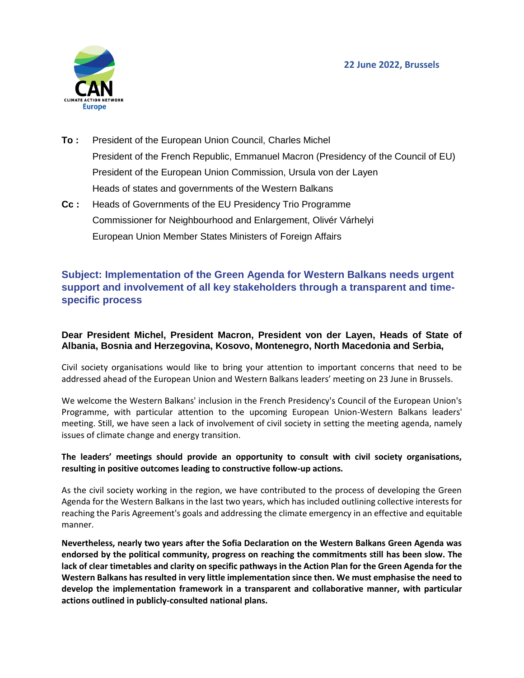

- **To :** President of the European Union Council, Charles Michel President of the French Republic, Emmanuel Macron (Presidency of the Council of EU) President of the European Union Commission, Ursula von der Layen Heads of states and governments of the Western Balkans
- **Cc :** Heads of Governments of the EU Presidency Trio Programme Commissioner for Neighbourhood and Enlargement, Olivér Várhelyi European Union Member States Ministers of Foreign Affairs

## **Subject: Implementation of the Green Agenda for Western Balkans needs urgent support and involvement of all key stakeholders through a transparent and timespecific process**

## **Dear President Michel, President Macron, President von der Layen, Heads of State of Albania, Bosnia and Herzegovina, Kosovo, Montenegro, North Macedonia and Serbia,**

Civil society organisations would like to bring your attention to important concerns that need to be addressed ahead of the European Union and Western Balkans leaders' meeting on 23 June in Brussels.

We welcome the Western Balkans' inclusion in the French Presidency's Council of the European Union's Programme, with particular attention to the upcoming European Union-Western Balkans leaders' meeting. Still, we have seen a lack of involvement of civil society in setting the meeting agenda, namely issues of climate change and energy transition.

## **The leaders' meetings should provide an opportunity to consult with civil society organisations, resulting in positive outcomes leading to constructive follow-up actions.**

As the civil society working in the region, we have contributed to the process of developing the Green Agenda for the Western Balkans in the last two years, which has included outlining collective interests for reaching the Paris Agreement's goals and addressing the climate emergency in an effective and equitable manner.

**Nevertheless, nearly two years after the Sofia Declaration on the Western Balkans Green Agenda was endorsed by the political community, progress on reaching the commitments still has been slow. The lack of clear timetables and clarity on specific pathways in the Action Plan for the Green Agenda for the Western Balkans has resulted in very little implementation since then. We must emphasise the need to develop the implementation framework in a transparent and collaborative manner, with particular actions outlined in publicly-consulted national plans.**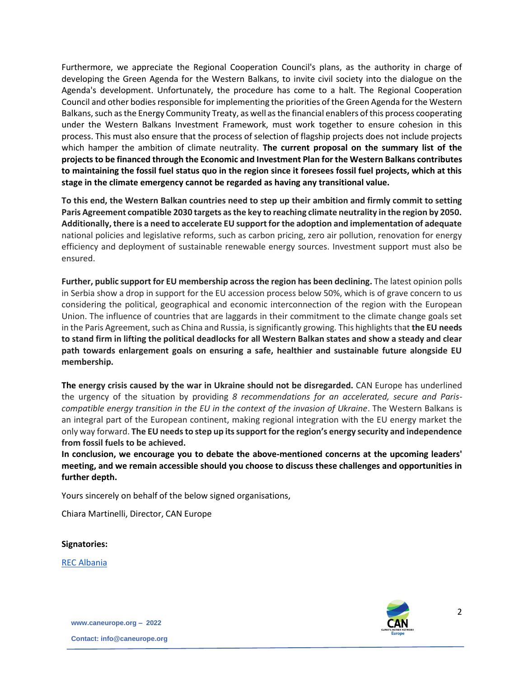Furthermore, we appreciate the Regional Cooperation Council's plans, as the authority in charge of developing the Green Agenda for the Western Balkans, to invite civil society into the dialogue on the Agenda's development. Unfortunately, the procedure has come to a halt. The Regional Cooperation Council and other bodies responsible for implementing the priorities of the Green Agenda for the Western Balkans, such as the Energy Community Treaty, as well as the financial enablers of this process cooperating under the Western Balkans Investment Framework, must work together to ensure cohesion in this process. This must also ensure that the process of selection of flagship projects does not include projects which hamper the ambition of climate neutrality. **The current proposal on the summary list of the projects to be financed through the Economic and Investment Plan for the Western Balkans contributes to maintaining the fossil fuel status quo in the region since it foresees fossil fuel projects, which at this stage in the climate emergency cannot be regarded as having any transitional value.**

**To this end, the Western Balkan countries need to step up their ambition and firmly commit to setting Paris Agreement compatible 2030 targets as the key to reaching climate neutrality in the region by 2050. Additionally, there is a need to accelerate EU support for the adoption and implementation of adequate** national policies and legislative reforms, such as carbon pricing, zero air pollution, renovation for energy efficiency and deployment of sustainable renewable energy sources. Investment support must also be ensured.

**Further, public support for EU membership across the region has been declining.** The latest opinion polls in Serbia show a drop in support for the EU accession process below 50%, which is of grave concern to us considering the political, geographical and economic interconnection of the region with the European Union. The influence of countries that are laggards in their commitment to the climate change goals set in the Paris Agreement, such as China and Russia, is significantly growing. This highlights that **the EU needs to stand firm in lifting the political deadlocks for all Western Balkan states and show a steady and clear path towards enlargement goals on ensuring a safe, healthier and sustainable future alongside EU membership.**

**The energy crisis caused by the war in Ukraine should not be disregarded.** CAN Europe has underlined the urgency of the situation by providing *8 recommendations for an accelerated, secure and Pariscompatible energy transition in the EU in the context of the invasion of Ukraine*. The Western Balkans is an integral part of the European continent, making regional integration with the EU energy market the only way forward. **The EU needs to step up its support for the region's energy security and independence from fossil fuels to be achieved.**

**In conclusion, we encourage you to debate the above-mentioned concerns at the upcoming leaders' meeting, and we remain accessible should you choose to discuss these challenges and opportunities in further depth.**

Yours sincerely on behalf of the below signed organisations,

Chiara Martinelli, Director, CAN Europe

**Signatories:**

[REC Albania](https://www.recshqiperi.org/)



**www.caneurope.org – 2022**

**Contact: info@caneurope.org**

2